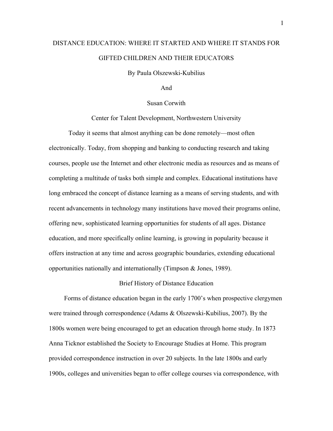# DISTANCE EDUCATION: WHERE IT STARTED AND WHERE IT STANDS FOR GIFTED CHILDREN AND THEIR EDUCATORS

By Paula Olszewski-Kubilius

And

# Susan Corwith

Center for Talent Development, Northwestern University

Today it seems that almost anything can be done remotely—most often electronically. Today, from shopping and banking to conducting research and taking courses, people use the Internet and other electronic media as resources and as means of completing a multitude of tasks both simple and complex. Educational institutions have long embraced the concept of distance learning as a means of serving students, and with recent advancements in technology many institutions have moved their programs online, offering new, sophisticated learning opportunities for students of all ages. Distance education, and more specifically online learning, is growing in popularity because it offers instruction at any time and across geographic boundaries, extending educational opportunities nationally and internationally (Timpson & Jones, 1989).

# Brief History of Distance Education

Forms of distance education began in the early 1700's when prospective clergymen were trained through correspondence (Adams & Olszewski-Kubilius, 2007). By the 1800s women were being encouraged to get an education through home study. In 1873 Anna Ticknor established the Society to Encourage Studies at Home. This program provided correspondence instruction in over 20 subjects. In the late 1800s and early 1900s, colleges and universities began to offer college courses via correspondence, with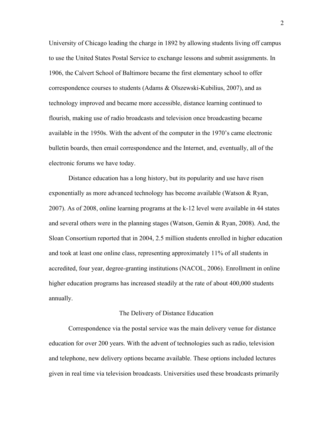University of Chicago leading the charge in 1892 by allowing students living off campus to use the United States Postal Service to exchange lessons and submit assignments. In 1906, the Calvert School of Baltimore became the first elementary school to offer correspondence courses to students (Adams & Olszewski-Kubilius, 2007), and as technology improved and became more accessible, distance learning continued to flourish, making use of radio broadcasts and television once broadcasting became available in the 1950s. With the advent of the computer in the 1970's came electronic bulletin boards, then email correspondence and the Internet, and, eventually, all of the electronic forums we have today.

Distance education has a long history, but its popularity and use have risen exponentially as more advanced technology has become available (Watson & Ryan, 2007). As of 2008, online learning programs at the k-12 level were available in 44 states and several others were in the planning stages (Watson, Gemin & Ryan, 2008). And, the Sloan Consortium reported that in 2004, 2.5 million students enrolled in higher education and took at least one online class, representing approximately 11% of all students in accredited, four year, degree-granting institutions (NACOL, 2006). Enrollment in online higher education programs has increased steadily at the rate of about 400,000 students annually.

## The Delivery of Distance Education

Correspondence via the postal service was the main delivery venue for distance education for over 200 years. With the advent of technologies such as radio, television and telephone, new delivery options became available. These options included lectures given in real time via television broadcasts. Universities used these broadcasts primarily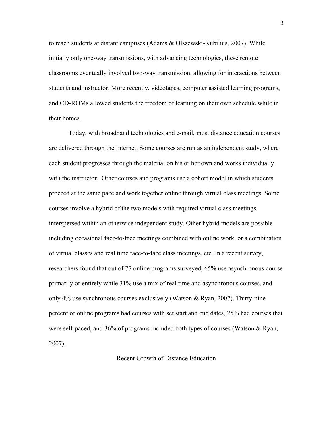to reach students at distant campuses (Adams & Olszewski-Kubilius, 2007). While initially only one-way transmissions, with advancing technologies, these remote classrooms eventually involved two-way transmission, allowing for interactions between students and instructor. More recently, videotapes, computer assisted learning programs, and CD-ROMs allowed students the freedom of learning on their own schedule while in their homes.

Today, with broadband technologies and e-mail, most distance education courses are delivered through the Internet. Some courses are run as an independent study, where each student progresses through the material on his or her own and works individually with the instructor. Other courses and programs use a cohort model in which students proceed at the same pace and work together online through virtual class meetings. Some courses involve a hybrid of the two models with required virtual class meetings interspersed within an otherwise independent study. Other hybrid models are possible including occasional face-to-face meetings combined with online work, or a combination of virtual classes and real time face-to-face class meetings, etc. In a recent survey, researchers found that out of 77 online programs surveyed, 65% use asynchronous course primarily or entirely while 31% use a mix of real time and asynchronous courses, and only 4% use synchronous courses exclusively (Watson & Ryan, 2007). Thirty-nine percent of online programs had courses with set start and end dates, 25% had courses that were self-paced, and 36% of programs included both types of courses (Watson & Ryan, 2007).

# Recent Growth of Distance Education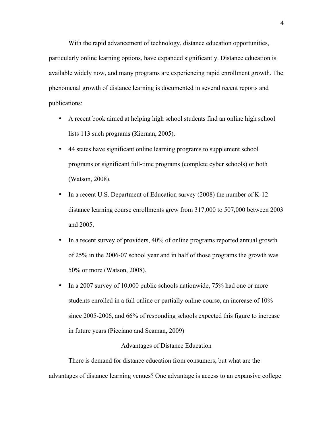With the rapid advancement of technology, distance education opportunities, particularly online learning options, have expanded significantly. Distance education is available widely now, and many programs are experiencing rapid enrollment growth. The phenomenal growth of distance learning is documented in several recent reports and publications:

- A recent book aimed at helping high school students find an online high school lists 113 such programs (Kiernan, 2005).
- 44 states have significant online learning programs to supplement school programs or significant full-time programs (complete cyber schools) or both (Watson, 2008).
- In a recent U.S. Department of Education survey (2008) the number of K-12 distance learning course enrollments grew from 317,000 to 507,000 between 2003 and 2005.
- In a recent survey of providers, 40% of online programs reported annual growth of 25% in the 2006-07 school year and in half of those programs the growth was 50% or more (Watson, 2008).
- In a 2007 survey of 10,000 public schools nationwide, 75% had one or more students enrolled in a full online or partially online course, an increase of 10% since 2005-2006, and 66% of responding schools expected this figure to increase in future years (Picciano and Seaman, 2009)

# Advantages of Distance Education

There is demand for distance education from consumers, but what are the advantages of distance learning venues? One advantage is access to an expansive college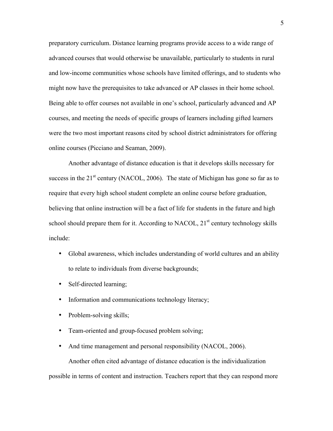advanced courses that would otherwise be unavailable, particularly to students in rural preparatory curriculum. Distance learning programs provide access to a wide range of and low-income communities whose schools have limited offerings, and to students who might now have the prerequisites to take advanced or AP classes in their home school. Being able to offer courses not available in one's school, particularly advanced and AP courses, and meeting the needs of specific groups of learners including gifted learners were the two most important reasons cited by school district administrators for offering online courses (Picciano and Seaman, 2009).

Another advantage of distance education is that it develops skills necessary for success in the  $21<sup>st</sup>$  century (NACOL, 2006). The state of Michigan has gone so far as to require that every high school student complete an online course before graduation, believing that online instruction will be a fact of life for students in the future and high school should prepare them for it. According to NACOL,  $21<sup>st</sup>$  century technology skills include:

- Global awareness, which includes understanding of world cultures and an ability to relate to individuals from diverse backgrounds;
- Self-directed learning;
- Information and communications technology literacy;
- Problem-solving skills;
- Team-oriented and group-focused problem solving;
- And time management and personal responsibility (NACOL, 2006).

Another often cited advantage of distance education is the individualization possible in terms of content and instruction. Teachers report that they can respond more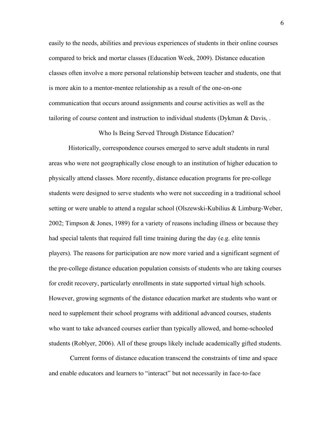easily to the needs, abilities and previous experiences of students in their online courses compared to brick and mortar classes (Education Week, 2009). Distance education classes often involve a more personal relationship between teacher and students, one that is more akin to a mentor-mentee relationship as a result of the one-on-one communication that occurs around assignments and course activities as well as the tailoring of course content and instruction to individual students (Dykman & Davis, .

Who Is Being Served Through Distance Education?

Historically, correspondence courses emerged to serve adult students in rural areas who were not geographically close enough to an institution of higher education to physically attend classes. More recently, distance education programs for pre-college students were designed to serve students who were not succeeding in a traditional school setting or were unable to attend a regular school (Olszewski-Kubilius & Limburg-Weber, 2002; Timpson & Jones, 1989) for a variety of reasons including illness or because they had special talents that required full time training during the day (e.g. elite tennis players). The reasons for participation are now more varied and a significant segment of the pre-college distance education population consists of students who are taking courses for credit recovery, particularly enrollments in state supported virtual high schools. However, growing segments of the distance education market are students who want or need to supplement their school programs with additional advanced courses, students who want to take advanced courses earlier than typically allowed, and home-schooled students (Roblyer, 2006). All of these groups likely include academically gifted students.

Current forms of distance education transcend the constraints of time and space and enable educators and learners to "interact" but not necessarily in face-to-face

6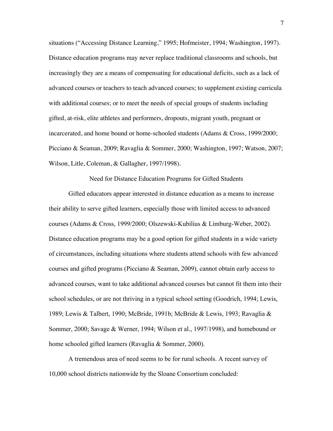situations ("Accessing Distance Learning," 1995; Hofmeister, 1994; Washington, 1997). Distance education programs may never replace traditional classrooms and schools, but increasingly they are a means of compensating for educational deficits, such as a lack of advanced courses or teachers to teach advanced courses; to supplement existing curricula with additional courses; or to meet the needs of special groups of students including gifted, at-risk, elite athletes and performers, dropouts, migrant youth, pregnant or incarcerated, and home bound or home-schooled students (Adams & Cross, 1999/2000; Picciano & Seaman, 2009; Ravaglia & Sommer, 2000; Washington, 1997; Watson, 2007; Wilson, Litle, Coleman, & Gallagher, 1997/1998).

Need for Distance Education Programs for Gifted Students

Gifted educators appear interested in distance education as a means to increase their ability to serve gifted learners, especially those with limited access to advanced courses (Adams & Cross, 1999/2000; Olszewski-Kubilius & Limburg-Weber, 2002). Distance education programs may be a good option for gifted students in a wide variety of circumstances, including situations where students attend schools with few advanced courses and gifted programs (Picciano & Seaman, 2009), cannot obtain early access to advanced courses, want to take additional advanced courses but cannot fit them into their school schedules, or are not thriving in a typical school setting (Goodrich, 1994; Lewis, 1989; Lewis & Talbert, 1990; McBride, 1991b; McBride & Lewis, 1993; Ravaglia & Sommer, 2000; Savage & Werner, 1994; Wilson et al., 1997/1998), and homebound or home schooled gifted learners (Ravaglia & Sommer, 2000).

A tremendous area of need seems to be for rural schools. A recent survey of 10,000 school districts nationwide by the Sloane Consortium concluded: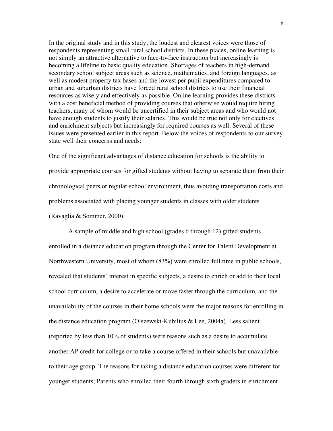In the original study and in this study, the loudest and clearest voices were those of respondents representing small rural school districts. In these places, online learning is not simply an attractive alternative to face-to-face instruction but increasingly is becoming a lifeline to basic quality education. Shortages of teachers in high-demand secondary school subject areas such as science, mathematics, and foreign languages, as well as modest property tax bases and the lowest per pupil expenditures compared to urban and suburban districts have forced rural school districts to use their financial resources as wisely and effectively as possible. Online learning provides these districts with a cost beneficial method of providing courses that otherwise would require hiring teachers, many of whom would be uncertified in their subject areas and who would not have enough students to justify their salaries. This would be true not only for electives and enrichment subjects but increasingly for required courses as well. Several of these issues were presented earlier in this report. Below the voices of respondents to our survey state well their concerns and needs:

One of the significant advantages of distance education for schools is the ability to provide appropriate courses for gifted students without having to separate them from their chronological peers or regular school environment, thus avoiding transportation costs and problems associated with placing younger students in classes with older students (Ravaglia & Sommer, 2000).

A sample of middle and high school (grades 6 through 12) gifted students enrolled in a distance education program through the Center for Talent Development at Northwestern University, most of whom (83%) were enrolled full time in public schools, revealed that students' interest in specific subjects, a desire to enrich or add to their local school curriculum, a desire to accelerate or move faster through the curriculum, and the unavailability of the courses in their home schools were the major reasons for enrolling in the distance education program (Olszewski-Kubilius & Lee, 2004a). Less salient (reported by less than 10% of students) were reasons such as a desire to accumulate another AP credit for college or to take a course offered in their schools but unavailable to their age group. The reasons for taking a distance education courses were different for younger students; Parents who enrolled their fourth through sixth graders in enrichment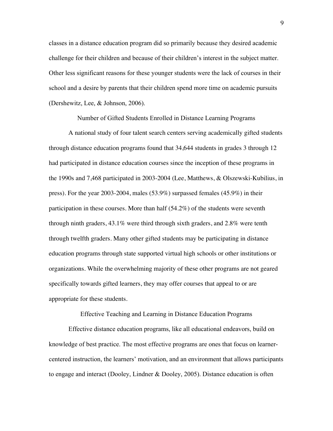classes in a distance education program did so primarily because they desired academic challenge for their children and because of their children's interest in the subject matter. Other less significant reasons for these younger students were the lack of courses in their school and a desire by parents that their children spend more time on academic pursuits (Dershewitz, Lee, & Johnson, 2006).

Number of Gifted Students Enrolled in Distance Learning Programs

A national study of four talent search centers serving academically gifted students through distance education programs found that 34,644 students in grades 3 through 12 had participated in distance education courses since the inception of these programs in the 1990s and 7,468 participated in 2003-2004 (Lee, Matthews, & Olszewski-Kubilius, in press). For the year 2003-2004, males (53.9%) surpassed females (45.9%) in their participation in these courses. More than half (54.2%) of the students were seventh through ninth graders, 43.1% were third through sixth graders, and 2.8% were tenth through twelfth graders. Many other gifted students may be participating in distance education programs through state supported virtual high schools or other institutions or organizations. While the overwhelming majority of these other programs are not geared specifically towards gifted learners, they may offer courses that appeal to or are appropriate for these students.

Effective Teaching and Learning in Distance Education Programs

Effective distance education programs, like all educational endeavors, build on knowledge of best practice. The most effective programs are ones that focus on learnercentered instruction, the learners' motivation, and an environment that allows participants to engage and interact (Dooley, Lindner & Dooley, 2005). Distance education is often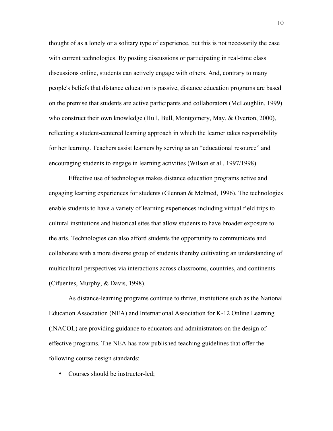thought of as a lonely or a solitary type of experience, but this is not necessarily the case with current technologies. By posting discussions or participating in real-time class discussions online, students can actively engage with others. And, contrary to many people's beliefs that distance education is passive, distance education programs are based on the premise that students are active participants and collaborators (McLoughlin, 1999) who construct their own knowledge (Hull, Bull, Montgomery, May, & Overton, 2000), reflecting a student-centered learning approach in which the learner takes responsibility for her learning. Teachers assist learners by serving as an "educational resource" and encouraging students to engage in learning activities (Wilson et al., 1997/1998).

Effective use of technologies makes distance education programs active and engaging learning experiences for students (Glennan  $\&$  Melmed, 1996). The technologies enable students to have a variety of learning experiences including virtual field trips to cultural institutions and historical sites that allow students to have broader exposure to the arts. Technologies can also afford students the opportunity to communicate and collaborate with a more diverse group of students thereby cultivating an understanding of multicultural perspectives via interactions across classrooms, countries, and continents (Cifuentes, Murphy, & Davis, 1998).

As distance-learning programs continue to thrive, institutions such as the National Education Association (NEA) and International Association for K-12 Online Learning (iNACOL) are providing guidance to educators and administrators on the design of effective programs. The NEA has now published teaching guidelines that offer the following course design standards:

• Courses should be instructor-led;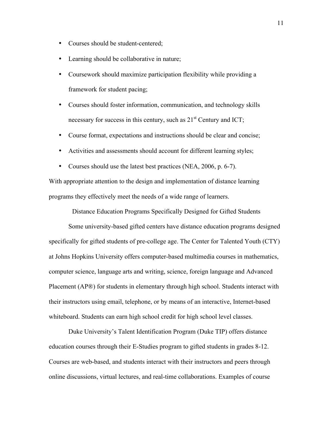- Courses should be student-centered;
- Learning should be collaborative in nature;
- Coursework should maximize participation flexibility while providing a framework for student pacing;
- Courses should foster information, communication, and technology skills necessary for success in this century, such as  $21<sup>st</sup>$  Century and ICT;
- Course format, expectations and instructions should be clear and concise;
- Activities and assessments should account for different learning styles;
- Courses should use the latest best practices (NEA, 2006, p. 6-7).

With appropriate attention to the design and implementation of distance learning programs they effectively meet the needs of a wide range of learners.

Distance Education Programs Specifically Designed for Gifted Students

Some university-based gifted centers have distance education programs designed specifically for gifted students of pre-college age. The Center for Talented Youth (CTY) at Johns Hopkins University offers computer-based multimedia courses in mathematics, computer science, language arts and writing, science, foreign language and Advanced Placement (AP®) for students in elementary through high school. Students interact with their instructors using email, telephone, or by means of an interactive, Internet-based whiteboard. Students can earn high school credit for high school level classes.

Duke University's Talent Identification Program (Duke TIP) offers distance education courses through their E-Studies program to gifted students in grades 8-12. Courses are web-based, and students interact with their instructors and peers through online discussions, virtual lectures, and real-time collaborations. Examples of course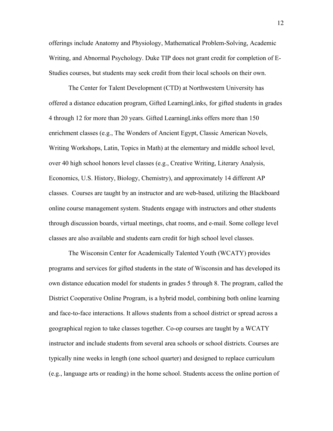offerings include Anatomy and Physiology, Mathematical Problem-Solving, Academic Writing, and Abnormal Psychology. Duke TIP does not grant credit for completion of E-Studies courses, but students may seek credit from their local schools on their own.

 Economics, U.S. History, Biology, Chemistry), and approximately 14 different AP The Center for Talent Development (CTD) at Northwestern University has offered a distance education program, Gifted LearningLinks, for gifted students in grades 4 through 12 for more than 20 years. Gifted LearningLinks offers more than 150 enrichment classes (e.g., The Wonders of Ancient Egypt, Classic American Novels, Writing Workshops, Latin, Topics in Math) at the elementary and middle school level, over 40 high school honors level classes (e.g., Creative Writing, Literary Analysis, classes. Courses are taught by an instructor and are web-based, utilizing the Blackboard online course management system. Students engage with instructors and other students through discussion boards, virtual meetings, chat rooms, and e-mail. Some college level classes are also available and students earn credit for high school level classes.

The Wisconsin Center for Academically Talented Youth (WCATY) provides programs and services for gifted students in the state of Wisconsin and has developed its own distance education model for students in grades 5 through 8. The program, called the District Cooperative Online Program, is a hybrid model, combining both online learning and face-to-face interactions. It allows students from a school district or spread across a geographical region to take classes together. Co-op courses are taught by a WCATY instructor and include students from several area schools or school districts. Courses are typically nine weeks in length (one school quarter) and designed to replace curriculum (e.g., language arts or reading) in the home school. Students access the online portion of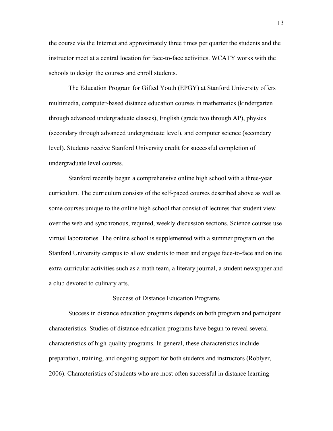the course via the Internet and approximately three times per quarter the students and the instructor meet at a central location for face-to-face activities. WCATY works with the schools to design the courses and enroll students.

The Education Program for Gifted Youth (EPGY) at Stanford University offers multimedia, computer-based distance education courses in mathematics (kindergarten through advanced undergraduate classes), English (grade two through AP), physics (secondary through advanced undergraduate level), and computer science (secondary level). Students receive Stanford University credit for successful completion of undergraduate level courses.

Stanford recently began a comprehensive online high school with a three-year curriculum. The curriculum consists of the self-paced courses described above as well as some courses unique to the online high school that consist of lectures that student view over the web and synchronous, required, weekly discussion sections. Science courses use virtual laboratories. The online school is supplemented with a summer program on the Stanford University campus to allow students to meet and engage face-to-face and online extra-curricular activities such as a math team, a literary journal, a student newspaper and a club devoted to culinary arts.

## Success of Distance Education Programs

Success in distance education programs depends on both program and participant characteristics. Studies of distance education programs have begun to reveal several characteristics of high-quality programs. In general, these characteristics include preparation, training, and ongoing support for both students and instructors (Roblyer, 2006). Characteristics of students who are most often successful in distance learning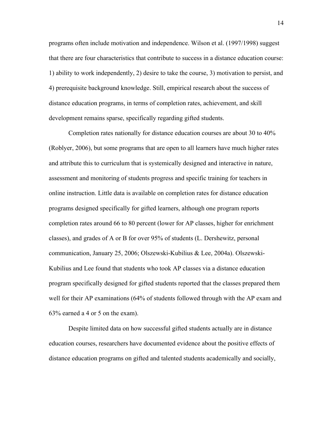programs often include motivation and independence. Wilson et al. (1997/1998) suggest that there are four characteristics that contribute to success in a distance education course: 1) ability to work independently, 2) desire to take the course, 3) motivation to persist, and 4) prerequisite background knowledge. Still, empirical research about the success of distance education programs, in terms of completion rates, achievement, and skill development remains sparse, specifically regarding gifted students.

Completion rates nationally for distance education courses are about 30 to 40% (Roblyer, 2006), but some programs that are open to all learners have much higher rates and attribute this to curriculum that is systemically designed and interactive in nature, assessment and monitoring of students progress and specific training for teachers in online instruction. Little data is available on completion rates for distance education programs designed specifically for gifted learners, although one program reports completion rates around 66 to 80 percent (lower for AP classes, higher for enrichment classes), and grades of A or B for over 95% of students (L. Dershewitz, personal communication, January 25, 2006; Olszewski-Kubilius & Lee, 2004a). Olszewski-Kubilius and Lee found that students who took AP classes via a distance education program specifically designed for gifted students reported that the classes prepared them well for their AP examinations (64% of students followed through with the AP exam and 63% earned a 4 or 5 on the exam).

Despite limited data on how successful gifted students actually are in distance education courses, researchers have documented evidence about the positive effects of distance education programs on gifted and talented students academically and socially,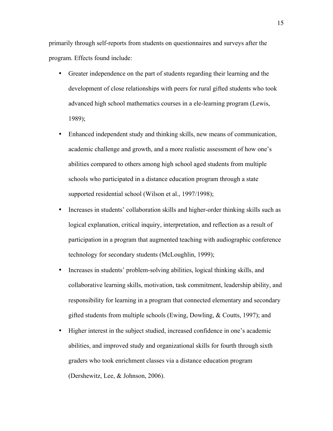primarily through self-reports from students on questionnaires and surveys after the program. Effects found include:

- 1989); • Greater independence on the part of students regarding their learning and the development of close relationships with peers for rural gifted students who took advanced high school mathematics courses in a ele-learning program (Lewis,
- supported residential school (Wilson et al., 1997/1998); • Enhanced independent study and thinking skills, new means of communication, academic challenge and growth, and a more realistic assessment of how one's abilities compared to others among high school aged students from multiple schools who participated in a distance education program through a state
- Increases in students' collaboration skills and higher-order thinking skills such as technology for secondary students (McLoughlin, 1999); logical explanation, critical inquiry, interpretation, and reflection as a result of participation in a program that augmented teaching with audiographic conference
- Increases in students' problem-solving abilities, logical thinking skills, and collaborative learning skills, motivation, task commitment, leadership ability, and responsibility for learning in a program that connected elementary and secondary gifted students from multiple schools (Ewing, Dowling, & Coutts, 1997); and
- Higher interest in the subject studied, increased confidence in one's academic abilities, and improved study and organizational skills for fourth through sixth graders who took enrichment classes via a distance education program (Dershewitz, Lee, & Johnson, 2006).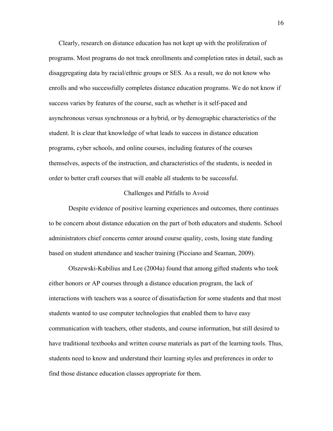Clearly, research on distance education has not kept up with the proliferation of programs. Most programs do not track enrollments and completion rates in detail, such as disaggregating data by racial/ethnic groups or SES. As a result, we do not know who enrolls and who successfully completes distance education programs. We do not know if success varies by features of the course, such as whether is it self-paced and asynchronous versus synchronous or a hybrid, or by demographic characteristics of the student. It is clear that knowledge of what leads to success in distance education programs, cyber schools, and online courses, including features of the courses themselves, aspects of the instruction, and characteristics of the students, is needed in order to better craft courses that will enable all students to be successful.

# Challenges and Pitfalls to Avoid

Despite evidence of positive learning experiences and outcomes, there continues to be concern about distance education on the part of both educators and students. School administrators chief concerns center around course quality, costs, losing state funding based on student attendance and teacher training (Picciano and Seaman, 2009).

Olszewski-Kubilius and Lee (2004a) found that among gifted students who took either honors or AP courses through a distance education program, the lack of interactions with teachers was a source of dissatisfaction for some students and that most students wanted to use computer technologies that enabled them to have easy communication with teachers, other students, and course information, but still desired to have traditional textbooks and written course materials as part of the learning tools. Thus, students need to know and understand their learning styles and preferences in order to find those distance education classes appropriate for them.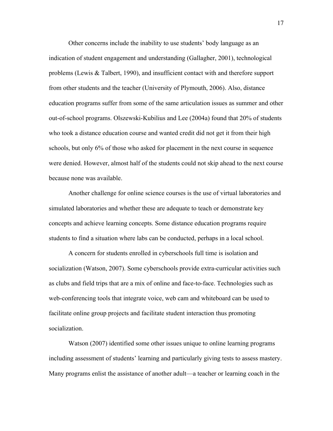Other concerns include the inability to use students' body language as an indication of student engagement and understanding (Gallagher, 2001), technological problems (Lewis & Talbert, 1990), and insufficient contact with and therefore support from other students and the teacher (University of Plymouth, 2006). Also, distance education programs suffer from some of the same articulation issues as summer and other out-of-school programs. Olszewski-Kubilius and Lee (2004a) found that 20% of students who took a distance education course and wanted credit did not get it from their high schools, but only 6% of those who asked for placement in the next course in sequence were denied. However, almost half of the students could not skip ahead to the next course because none was available.

Another challenge for online science courses is the use of virtual laboratories and simulated laboratories and whether these are adequate to teach or demonstrate key concepts and achieve learning concepts. Some distance education programs require students to find a situation where labs can be conducted, perhaps in a local school.

A concern for students enrolled in cyberschools full time is isolation and socialization (Watson, 2007). Some cyberschools provide extra-curricular activities such as clubs and field trips that are a mix of online and face-to-face. Technologies such as web-conferencing tools that integrate voice, web cam and whiteboard can be used to facilitate online group projects and facilitate student interaction thus promoting socialization.

Watson (2007) identified some other issues unique to online learning programs including assessment of students' learning and particularly giving tests to assess mastery. Many programs enlist the assistance of another adult—a teacher or learning coach in the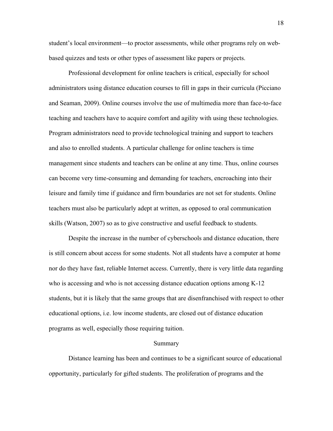student's local environment—to proctor assessments, while other programs rely on webbased quizzes and tests or other types of assessment like papers or projects.

Professional development for online teachers is critical, especially for school administrators using distance education courses to fill in gaps in their curricula (Picciano and Seaman, 2009). Online courses involve the use of multimedia more than face-to-face teaching and teachers have to acquire comfort and agility with using these technologies. Program administrators need to provide technological training and support to teachers and also to enrolled students. A particular challenge for online teachers is time management since students and teachers can be online at any time. Thus, online courses can become very time-consuming and demanding for teachers, encroaching into their leisure and family time if guidance and firm boundaries are not set for students. Online teachers must also be particularly adept at written, as opposed to oral communication skills (Watson, 2007) so as to give constructive and useful feedback to students.

Despite the increase in the number of cyberschools and distance education, there is still concern about access for some students. Not all students have a computer at home nor do they have fast, reliable Internet access. Currently, there is very little data regarding who is accessing and who is not accessing distance education options among K-12 students, but it is likely that the same groups that are disenfranchised with respect to other educational options, i.e. low income students, are closed out of distance education programs as well, especially those requiring tuition.

#### Summary

Distance learning has been and continues to be a significant source of educational opportunity, particularly for gifted students. The proliferation of programs and the

18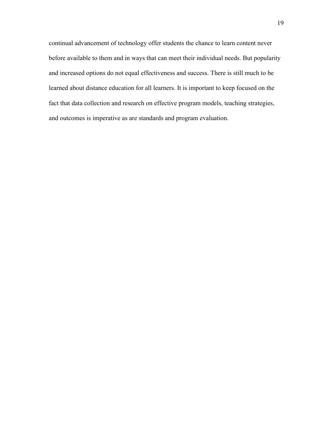continual advancement of technology offer students the chance to learn content never before available to them and in ways that can meet their individual needs. But popularity and increased options do not equal effectiveness and success. There is still much to be learned about distance education for all learners. It is important to keep focused on the fact that data collection and research on effective program models, teaching strategies, and outcomes is imperative as are standards and program evaluation.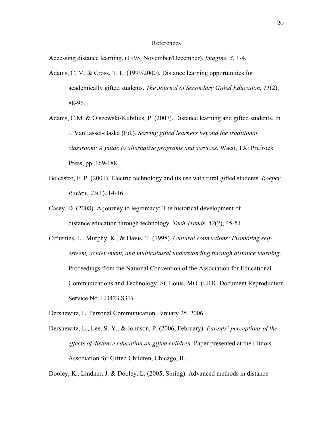# References

Accessing distance learning. (1995, November/December). *Imagine, 3,* 1-4.

- Adams, C. M. & Cross, T. L. (1999/2000). Distance learning opportunities for academically gifted students. *The Journal of Secondary Gifted Education, 11*(2), 88-96.
- Adams, C.M. & Olszewski-Kubilius, P. (2007). Distance learning and gifted students. In J. VanTassel-Baska (Ed.). *Serving gifted learners beyond the traditional classroom: A guide to alternative programs and services*. Waco, TX: Prufrock Press, pp. 169-188.
- Belcastro, F. P. (2001). Electric technology and its use with rural gifted students. *Roeper Review, 25*(1), 14-16.
- Casey, D. (2008). A journey to legitimacy: The historical development of distance education through technology. *Tech Trends*. *52*(2), 45-51.
- Cifuentes, L., Murphy, K., & Davis, T. (1998). *Cultural connections: Promoting selfesteem, achievement, and multicultural understanding through distance learning*. Proceedings from the National Convention of the Association for Educational Communications and Technology. St. Louis, MO. (ERIC Document Reproduction Service No. ED423 831)
- Dershewitz, L. Personal Communication. January 25, 2006.
- Dershewitz, L., Lee, S.-Y., & Johnson, P. (2006, February). *Parents' perceptions of the effects of distance education on gifted children*. Paper presented at the Illinois Association for Gifted Children, Chicago, IL.

Dooley, K., Lindner, J. & Dooley, L. (2005, Spring). Advanced methods in distance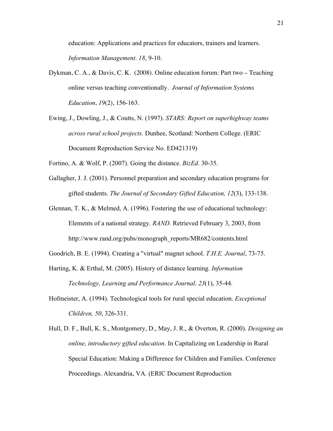education: Applications and practices for educators, trainers and learners. *Information Management*. *18*, 9-10.

- Dykman, C. A., & Davis, C. K. (2008). Online education forum: Part two Teaching online versus teaching conventionally. *Journal of Information Systems Education, 19*(2), 156-163.
- Ewing, J., Dowling, J., & Coutts, N. (1997). *STARS: Report on superhighway teams across rural school projects.* Dunhee, Scotland: Northern College. (ERIC Document Reproduction Service No. ED421319)
- Fortino, A. & Wolf, P. (2007). Going the distance. *BizEd*. 30-35.
- Gallagher, J. J. (2001). Personnel preparation and secondary education programs for gifted students. *The Journal of Secondary Gifted Education, 12*(3), 133-138.
- Glennan, T. K., & Melmed, A. (1996). Fostering the use of educational technology:<br>Elements of a national strategy. *RAND*. Retrieved February 3, 2003, from http://www.rand.org/pubs/monograph\_reports/MR682/contents.html
- Goodrich, B. E. (1994). Creating a "virtual" magnet school. *T.H.E. Journal*, 73-75.
- Harting, K. & Erthal, M. (2005). History of distance learning. *Information Technology, Learning and Performance Journal*. *23*(1), 35-44.
- Hofmeister, A. (1994). Technological tools for rural special education. *Exceptional Children, 50*, 326-331.
- *online, introductory gifted education*. In Capitalizing on Leadership in Rural<br>Special Education: Making a Difference for Children and Families. Conference Hull, D. F., Bull, K. S., Montgomery, D., May, J. R., & Overton, R. (2000). *Designing an*  Proceedings. Alexandria, VA*.* (ERIC Document Reproduction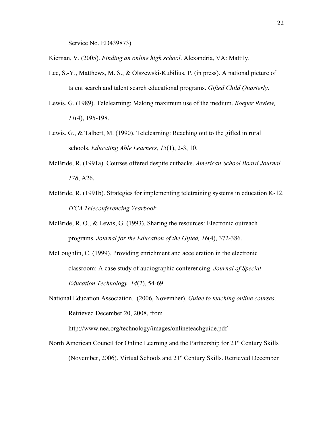Service No. ED439873)

Kiernan, V. (2005). *Finding an online high school*. Alexandria, VA: Mattily.

- Lee, S.-Y., Matthews, M. S., & Olszewski-Kubilius, P. (in press). A national picture of talent search and talent search educational programs. *Gifted Child Quarterly*.
- Lewis, G. (1989). Telelearning: Making maximum use of the medium. *Roeper Review, 11*(4), 195-198.
- Lewis, G., & Talbert, M. (1990). Telelearning: Reaching out to the gifted in rural schools. *Educating Able Learners, 15*(1), 2-3, 10.
- McBride, R. (1991a). Courses offered despite cutbacks. *American School Board Journal, 178*, A26.
- McBride, R. (1991b). Strategies for implementing teletraining systems in education K-12. *ITCA Teleconferencing Yearbook*.
- McBride, R. O., & Lewis, G. (1993). Sharing the resources: Electronic outreach programs. *Journal for the Education of the Gifted, 16*(4), 372-386.
- McLoughlin, C. (1999). Providing enrichment and acceleration in the electronic classroom: A case study of audiographic conferencing. *Journal of Special Education Technology, 14*(2), 54-69. classroom: A case study of audiographic conferencing. *Journal of Special*
- Retrieved December 20, 2008, from National Education Association. (2006, November). *Guide to teaching online courses*.

http://www.nea.org/technology/images/onlineteachguide.pdf

North American Council for Online Learning and the Partnership for  $21<sup>st</sup>$  Century Skills (November, 2006). Virtual Schools and 21<sup>st</sup> Century Skills. Retrieved December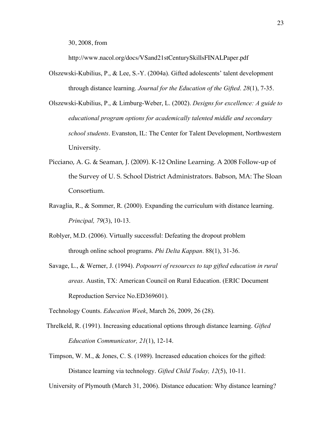30, 2008, from

http://www.nacol.org/docs/VSand21stCenturySkillsFINALPaper.pdf

- Olszewski-Kubilius, P., & Lee, S.-Y. (2004a). Gifted adolescents' talent development through distance learning. *Journal for the Education of the Gifted. 28*(1), 7-35.
- *educational program options for academically talented middle and secondary school students*. Evanston, IL: The Center for Talent Development, Northwestern Olszewski-Kubilius, P., & Limburg-Weber, L. (2002). *Designs for excellence: A guide to*  University.
- Picciano, A. G. & Seaman, J. (2009). K-12 Online Learning. A 2008 Follow-up of the Survey of U. S. School District Administrators. Babson, MA: The Sloan Consortium.
- Ravaglia, R., & Sommer, R. (2000). Expanding the curriculum with distance learning. *Principal, 79*(3), 10-13.
- Roblyer, M.D. (2006). Virtually successful: Defeating the dropout problem through online school programs. *Phi Delta Kappan*. 88(1), 31-36.
- Savage, L., & Werner, J. (1994). *Potpourri of resources to tap gifted education in rural areas*. Austin, TX: American Council on Rural Education. (ERIC Document Reproduction Service No.ED369601). areas. Austin, TX: American Council on Rural Education. (ERIC Document

Technology Counts. *Education Week*, March 26, 2009, 26 (28).

- Threlkeld, R. (1991). Increasing educational options through distance learning. *Gifted Education Communicator, 21*(1), 12-14.
- Timpson, W. M., & Jones, C. S. (1989). Increased education choices for the gifted: Distance learning via technology. *Gifted Child Today, 12*(5), 10-11.

University of Plymouth (March 31, 2006). Distance education: Why distance learning?